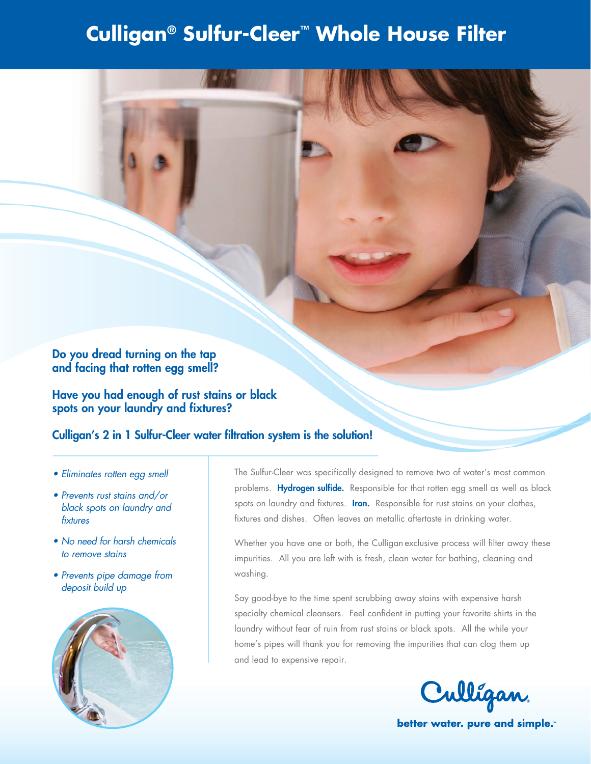# **Culligan® Sulfur-Cleer™ Whole House Filter**

# Do you dread turning on the tap and facing that rotten egg smell?

Have you had enough of rust stains or black spots on your laundry and fixtures?

# Culligan's 2 in 1 Sulfur-Cleer water filtration system is the solution!

- *• Eliminates rotten egg smell*
- *• Prevents rust stains and/or black spots on laundry and fixtures*
- *• No need for harsh chemicals to remove stains*
- *• Prevents pipe damage from deposit build up*



The Sulfur-Cleer was specifically designed to remove two of water's most common problems. Hydrogen sulfide. Responsible for that rotten egg smell as well as black spots on laundry and fixtures. Iron. Responsible for rust stains on your clothes, fixtures and dishes. Often leaves an metallic aftertaste in drinking water.

Whether you have one or both, the Culligan exclusive process will filter away these impurities. All you are left with is fresh, clean water for bathing, cleaning and washing.

Say good-bye to the time spent scrubbing away stains with expensive harsh specialty chemical cleansers. Feel confident in putting your favorite shirts in the laundry without fear of ruin from rust stains or black spots. All the while your home's pipes will thank you for removing the impurities that can clog them up and lead to expensive repair.



better water. pure and simple.